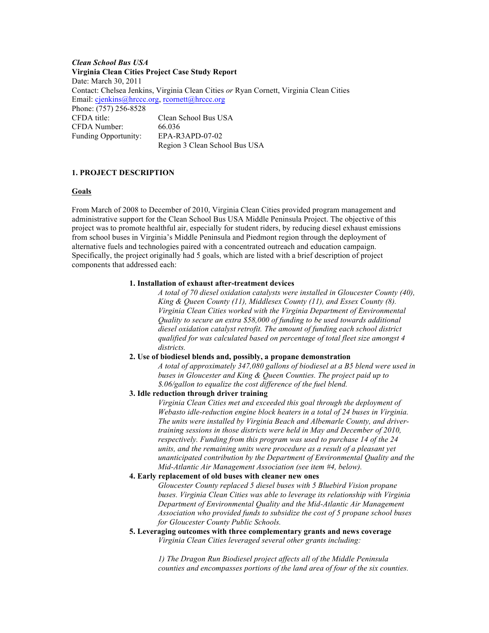*Clean School Bus USA* **Virginia Clean Cities Project Case Study Report** Date: March 30, 2011 Contact: Chelsea Jenkins, Virginia Clean Cities *or* Ryan Cornett, Virginia Clean Cities Email: cjenkins@hrccc.org, rcornett@hrccc.org Phone: (757) 256-8528 CFDA title: Clean School Bus USA CFDA Number: 66.036 Funding Opportunity: EPA-R3APD-07-02 Region 3 Clean School Bus USA

#### **1. PROJECT DESCRIPTION**

#### **Goals**

From March of 2008 to December of 2010, Virginia Clean Cities provided program management and administrative support for the Clean School Bus USA Middle Peninsula Project. The objective of this project was to promote healthful air, especially for student riders, by reducing diesel exhaust emissions from school buses in Virginia's Middle Peninsula and Piedmont region through the deployment of alternative fuels and technologies paired with a concentrated outreach and education campaign. Specifically, the project originally had 5 goals, which are listed with a brief description of project components that addressed each:

#### **1. Installation of exhaust after-treatment devices**

*A total of 70 diesel oxidation catalysts were installed in Gloucester County (40), King & Queen County (11), Middlesex County (11), and Essex County (8). Virginia Clean Cities worked with the Virginia Department of Environmental Quality to secure an extra \$58,000 of funding to be used towards additional diesel oxidation catalyst retrofit. The amount of funding each school district qualified for was calculated based on percentage of total fleet size amongst 4 districts.*

### **2. Use of biodiesel blends and, possibly, a propane demonstration**

*A total of approximately 347,080 gallons of biodiesel at a B5 blend were used in buses in Gloucester and King & Queen Counties. The project paid up to \$.06/gallon to equalize the cost difference of the fuel blend.*

# **3. Idle reduction through driver training**

*Virginia Clean Cities met and exceeded this goal through the deployment of Webasto idle-reduction engine block heaters in a total of 24 buses in Virginia. The units were installed by Virginia Beach and Albemarle County, and drivertraining sessions in those districts were held in May and December of 2010, respectively. Funding from this program was used to purchase 14 of the 24 units, and the remaining units were procedure as a result of a pleasant yet unanticipated contribution by the Department of Environmental Quality and the Mid-Atlantic Air Management Association (see item #4, below).* 

### **4. Early replacement of old buses with cleaner new ones**

*Gloucester County replaced 5 diesel buses with 5 Bluebird Vision propane buses. Virginia Clean Cities was able to leverage its relationship with Virginia Department of Environmental Quality and the Mid-Atlantic Air Management Association who provided funds to subsidize the cost of 5 propane school buses for Gloucester County Public Schools.*

**5. Leveraging outcomes with three complementary grants and news coverage** *Virginia Clean Cities leveraged several other grants including:* 

> *1) The Dragon Run Biodiesel project affects all of the Middle Peninsula counties and encompasses portions of the land area of four of the six counties.*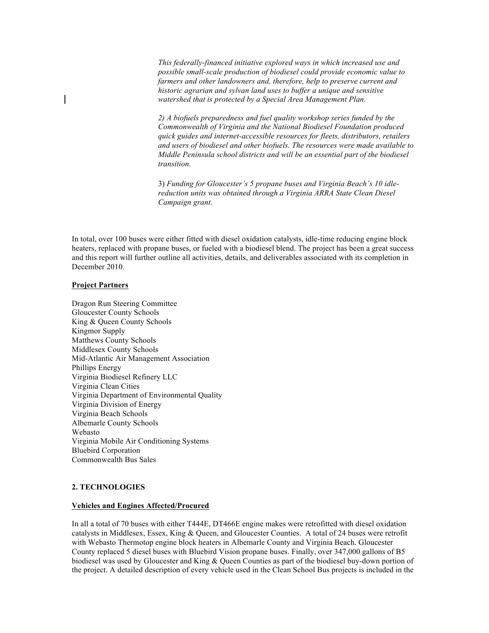*This federally-financed initiative explored ways in which increased use and possible small-scale production of biodiesel could provide economic value to farmers and other landowners and, therefore, help to preserve current and historic agrarian and sylvan land uses to buffer a unique and sensitive watershed that is protected by a Special Area Management Plan.* 

*2) A biofuels preparedness and fuel quality workshop series funded by the Commonwealth of Virginia and the National Biodiesel Foundation produced quick guides and internet-accessible resources for fleets, distributors, retailers and users of biodiesel and other biofuels. The resources were made available to Middle Peninsula school districts and will be an essential part of the biodiesel transition.*

3) *Funding for Gloucester's 5 propane buses and Virginia Beach's 10 idlereduction units was obtained through a Virginia ARRA State Clean Diesel Campaign grant.*

In total, over 100 buses were either fitted with diesel oxidation catalysts, idle-time reducing engine block heaters, replaced with propane buses, or fueled with a biodiesel blend. The project has been a great success and this report will further outline all activities, details, and deliverables associated with its completion in December 2010.

### **Project Partners**

Dragon Run Steering Committee Gloucester County Schools King & Queen County Schools Kingmor Supply Matthews County Schools Middlesex County Schools Mid-Atlantic Air Management Association Phillips Energy Virginia Biodiesel Refinery LLC Virginia Clean Cities Virginia Department of Environmental Quality Virginia Division of Energy Virginia Beach Schools Albemarle County Schools Webasto Virginia Mobile Air Conditioning Systems Bluebird Corporation Commonwealth Bus Sales

### **2. TECHNOLOGIES**

#### **Vehicles and Engines Affected/Procured**

In all a total of 70 buses with either T444E, DT466E engine makes were retrofitted with diesel oxidation catalysts in Middlesex, Essex, King & Queen, and Gloucester Counties. A total of 24 buses were retrofit with Webasto Thermotop engine block heaters in Albemarle County and Virginia Beach. Gloucester County replaced 5 diesel buses with Bluebird Vision propane buses. Finally, over 347,000 gallons of B5 biodiesel was used by Gloucester and King & Queen Counties as part of the biodiesel buy-down portion of the project. A detailed description of every vehicle used in the Clean School Bus projects is included in the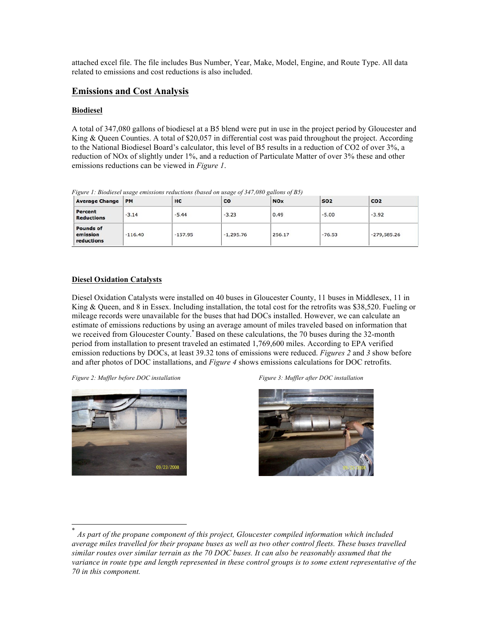attached excel file. The file includes Bus Number, Year, Make, Model, Engine, and Route Type. All data related to emissions and cost reductions is also included.

# **Emissions and Cost Analysis**

### **Biodiesel**

A total of 347,080 gallons of biodiesel at a B5 blend were put in use in the project period by Gloucester and King & Queen Counties. A total of \$20,057 in differential cost was paid throughout the project. According to the National Biodiesel Board's calculator, this level of B5 results in a reduction of CO2 of over 3%, a reduction of NOx of slightly under 1%, and a reduction of Particulate Matter of over 3% these and other emissions reductions can be viewed in *Figure 1*.

| <b>Average Change</b>                      | <b>PM</b> | HC        | CO          | <b>NOx</b> | <b>SO2</b> | CO <sub>2</sub> |  |
|--------------------------------------------|-----------|-----------|-------------|------------|------------|-----------------|--|
| Percent<br><b>Reductions</b>               | $-3.14$   | $-5.44$   | $-3.23$     | 0.49       | $-5.00$    | $-3.92$         |  |
| <b>Pounds of</b><br>emission<br>reductions | $-116.40$ | $-157.95$ | $-1.295.76$ | 256.17     | $-76.53$   | $-279,585.26$   |  |

*Figure 1: Biodiesel usage emissions reductions (based on usage of 347,080 gallons of B5)*

### **Diesel Oxidation Catalysts**

Diesel Oxidation Catalysts were installed on 40 buses in Gloucester County, 11 buses in Middlesex, 11 in King & Queen, and 8 in Essex. Including installation, the total cost for the retrofits was \$38,520. Fueling or mileage records were unavailable for the buses that had DOCs installed. However, we can calculate an estimate of emissions reductions by using an average amount of miles traveled based on information that we received from Gloucester County.<sup>\*</sup> Based on these calculations, the 70 buses during the 32-month period from installation to present traveled an estimated 1,769,600 miles. According to EPA verified emission reductions by DOCs, at least 39.32 tons of emissions were reduced. *Figures 2* and *3* show before and after photos of DOC installations, and *Figure 4* shows emissions calculations for DOC retrofits.



*Figure 2: Muffler before DOC installation Figure 3: Muffler after DOC installation*



 <sup>\*</sup> *As part of the propane component of this project, Gloucester compiled information which included average miles travelled for their propane buses as well as two other control fleets. These buses travelled similar routes over similar terrain as the 70 DOC buses. It can also be reasonably assumed that the variance in route type and length represented in these control groups is to some extent representative of the 70 in this component.*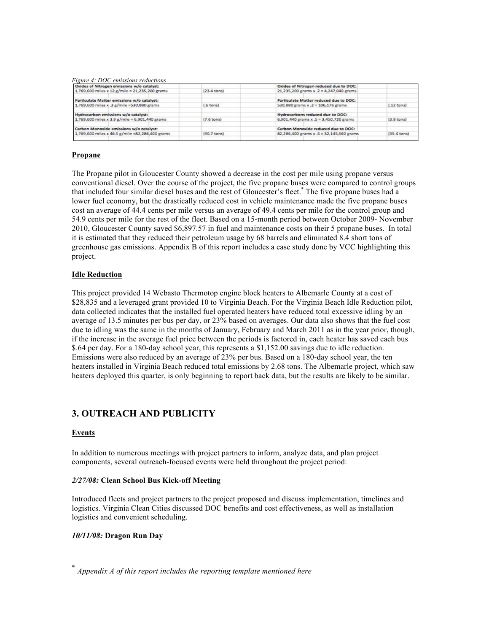*Figure 4: DOC emissions reductions*

| Oxides of Nitrogen emissions w/o catalyst:      |                       | Oxides of Nitrogen reduced due to DOC:   |                      |
|-------------------------------------------------|-----------------------|------------------------------------------|----------------------|
| 1,769,600 miles x 12 g/mile = 21,235,200 grams  | $(23.4 \text{ tons})$ | 21.235,200 grams x $2 = 4.247,040$ grams |                      |
| Particulate Matter emissions w/o catalyst:      |                       | Particulate Matter reduced due to DOC:   |                      |
| 1,769,600 miles x .3 g/mile =530,880 grams      | (.6 tons)             | 530,880 grams x .2 = 106,176 grams       | $[.12$ tons)         |
| Hydrocarbon emissions w/o catalyst:             |                       | Hydrocarbons reduced due to DOC:         |                      |
| 1,769,600 miles x 3.9 g/mile = 6,901,440 grams  | $(7.6 \text{ tons})$  | 6.901.440 grams x .5 = 3.450.720 grams   | $[3.8 \text{ tons}]$ |
| Carbon Monoxide emissions w/o catalyst:         |                       | Carbon Monoxide reduced due to DOC:      |                      |
| 1,769,600 miles x 46.5 g/mile =82,286,400 grams | $(90.7 \text{ tons})$ | 82,286,400 grams x .4 = 32,145,560 grams | [35,4 tons)          |

### **Propane**

The Propane pilot in Gloucester County showed a decrease in the cost per mile using propane versus conventional diesel. Over the course of the project, the five propane buses were compared to control groups that included four similar diesel buses and the rest of Gloucester's fleet.\* The five propane buses had a lower fuel economy, but the drastically reduced cost in vehicle maintenance made the five propane buses cost an average of 44.4 cents per mile versus an average of 49.4 cents per mile for the control group and 54.9 cents per mile for the rest of the fleet. Based on a 15-month period between October 2009- November 2010, Gloucester County saved \$6,897.57 in fuel and maintenance costs on their 5 propane buses. In total it is estimated that they reduced their petroleum usage by 68 barrels and eliminated 8.4 short tons of greenhouse gas emissions. Appendix B of this report includes a case study done by VCC highlighting this project.

### **Idle Reduction**

This project provided 14 Webasto Thermotop engine block heaters to Albemarle County at a cost of \$28,835 and a leveraged grant provided 10 to Virginia Beach. For the Virginia Beach Idle Reduction pilot, data collected indicates that the installed fuel operated heaters have reduced total excessive idling by an average of 13.5 minutes per bus per day, or 23% based on averages. Our data also shows that the fuel cost due to idling was the same in the months of January, February and March 2011 as in the year prior, though, if the increase in the average fuel price between the periods is factored in, each heater has saved each bus \$.64 per day. For a 180-day school year, this represents a \$1,152.00 savings due to idle reduction. Emissions were also reduced by an average of 23% per bus. Based on a 180-day school year, the ten heaters installed in Virginia Beach reduced total emissions by 2.68 tons. The Albemarle project, which saw heaters deployed this quarter, is only beginning to report back data, but the results are likely to be similar.

# **3. OUTREACH AND PUBLICITY**

# **Events**

In addition to numerous meetings with project partners to inform, analyze data, and plan project components, several outreach-focused events were held throughout the project period:

# *2/27/08:* **Clean School Bus Kick-off Meeting**

Introduced fleets and project partners to the project proposed and discuss implementation, timelines and logistics. Virginia Clean Cities discussed DOC benefits and cost effectiveness, as well as installation logistics and convenient scheduling.

# *10/11/08:* **Dragon Run Day**

 <sup>\*</sup> *Appendix A of this report includes the reporting template mentioned here*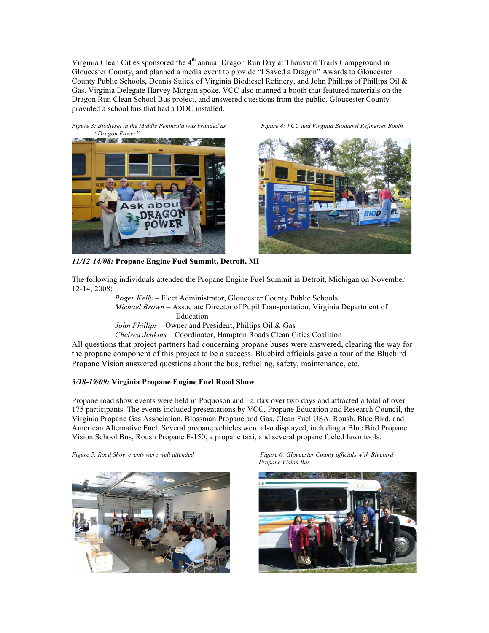Virginia Clean Cities sponsored the  $4<sup>th</sup>$  annual Dragon Run Day at Thousand Trails Campground in Gloucester County, and planned a media event to provide "I Saved a Dragon" Awards to Gloucester County Public Schools, Dennis Sulick of Virginia Biodiesel Refinery, and John Phillips of Phillips Oil & Gas. Virginia Delegate Harvey Morgan spoke. VCC also manned a booth that featured materials on the Dragon Run Clean School Bus project, and answered questions from the public. Gloucester County provided a school bus that had a DOC installed.

*Figure 3: Biodiesel in the Middle Peninsula was branded as Figure 4: VCC and Virginia Biodiesel Refineries Booth "Dragon Power"*





*11/12-14/08:* **Propane Engine Fuel Summit, Detroit, MI**

The following individuals attended the Propane Engine Fuel Summit in Detroit, Michigan on November 12-14, 2008:

*Roger Kelly* – Fleet Administrator, Gloucester County Public Schools *Michael Brown* – Associate Director of Pupil Transportation, Virginia Department of Education *John Phillips* – Owner and President, Phillips Oil & Gas

*Chelsea Jenkins* – Coordinator, Hampton Roads Clean Cities Coalition

All questions that project partners had concerning propane buses were answered, clearing the way for the propane component of this project to be a success. Bluebird officials gave a tour of the Bluebird Propane Vision answered questions about the bus, refueling, safety, maintenance, etc.

# *3/18-19/09:* **Virginia Propane Engine Fuel Road Show**

Propane road show events were held in Poquoson and Fairfax over two days and attracted a total of over 175 participants. The events included presentations by VCC, Propane Education and Research Council, the Virginia Propane Gas Association, Blossman Propane and Gas, Clean Fuel USA, Roush, Blue Bird, and American Alternative Fuel. Several propane vehicles were also displayed, including a Blue Bird Propane Vision School Bus, Roush Propane F-150, a propane taxi, and several propane fueled lawn tools.



*Figure 5: Road Show events were well attended Figure 6: Gloucester County officials with Bluebird Propane Vision Bus*

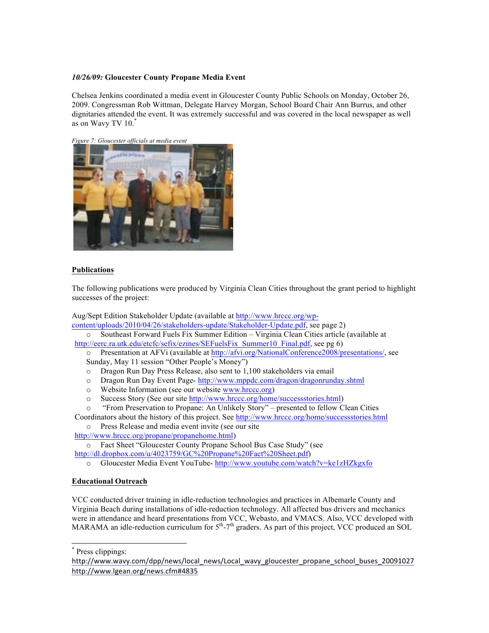# *10/26/09:* **Gloucester County Propane Media Event**

Chelsea Jenkins coordinated a media event in Gloucester County Public Schools on Monday, October 26, 2009. Congressman Rob Wittman, Delegate Harvey Morgan, School Board Chair Ann Burrus, and other dignitaries attended the event. It was extremely successful and was covered in the local newspaper as well as on Wavy TV 10.\*

*Figure 7: Gloucester officials at media event*



### **Publications**

The following publications were produced by Virginia Clean Cities throughout the grant period to highlight successes of the project:

Aug/Sept Edition Stakeholder Update (available at http://www.hrccc.org/wpcontent/uploads/2010/04/26/stakeholders-update/Stakeholder-Update.pdf, see page 2)

o Southeast Forward Fuels Fix Summer Edition – Virginia Clean Cities article (available at http://eerc.ra.utk.edu/etcfc/sefix/ezines/SEFuelsFix\_Summer10\_Final.pdf, see pg 6)

o Presentation at AFVi (available at http://afvi.org/NationalConference2008/presentations/, see Sunday, May 11 session "Other People's Money")

- o Dragon Run Day Press Release, also sent to 1,100 stakeholders via email
- o Dragon Run Day Event Page- http://www.mppdc.com/dragon/dragonrunday.shtml
- o Website Information (see our website www.hrccc.org)
- o Success Story (See our site http://www.hrccc.org/home/successstories.html)
- o "From Preservation to Propane: An Unlikely Story" presented to fellow Clean Cities Coordinators about the history of this project. See http://www.hrccc.org/home/successstories.html
	- o Press Release and media event invite (see our site

http://www.hrccc.org/propane/propanehome.html)

o Fact Sheet "Gloucester County Propane School Bus Case Study" (see http://dl.dropbox.com/u/4023759/GC%20Propane%20Fact%20Sheet.pdf)

o Gloucester Media Event YouTube- http://www.youtube.com/watch?v=ke1zHZkgxfo

### **Educational Outreach**

VCC conducted driver training in idle-reduction technologies and practices in Albemarle County and Virginia Beach during installations of idle-reduction technology. All affected bus drivers and mechanics were in attendance and heard presentations from VCC, Webasto, and VMACS. Also, VCC developed with MARAMA an idle-reduction curriculum for  $5<sup>th</sup> - 7<sup>th</sup>$  graders. As part of this project, VCC produced an SOL

\* Press clippings:

http://www.wavy.com/dpp/news/local news/Local wavy gloucester propane school buses 20091027 http://www.lgean.org/news.cfm#4835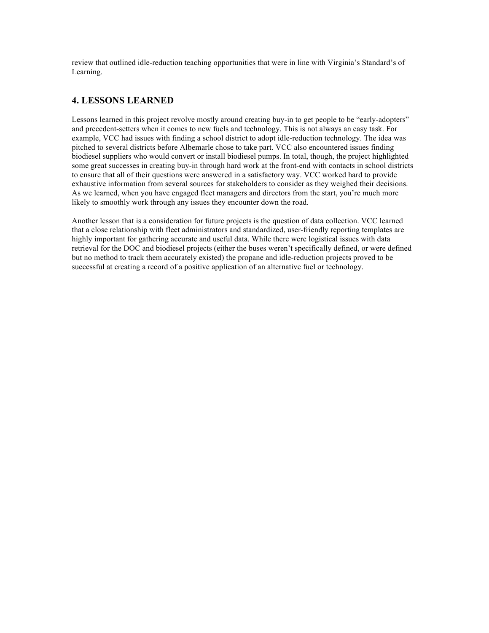review that outlined idle-reduction teaching opportunities that were in line with Virginia's Standard's of Learning.

# **4. LESSONS LEARNED**

Lessons learned in this project revolve mostly around creating buy-in to get people to be "early-adopters" and precedent-setters when it comes to new fuels and technology. This is not always an easy task. For example, VCC had issues with finding a school district to adopt idle-reduction technology. The idea was pitched to several districts before Albemarle chose to take part. VCC also encountered issues finding biodiesel suppliers who would convert or install biodiesel pumps. In total, though, the project highlighted some great successes in creating buy-in through hard work at the front-end with contacts in school districts to ensure that all of their questions were answered in a satisfactory way. VCC worked hard to provide exhaustive information from several sources for stakeholders to consider as they weighed their decisions. As we learned, when you have engaged fleet managers and directors from the start, you're much more likely to smoothly work through any issues they encounter down the road.

Another lesson that is a consideration for future projects is the question of data collection. VCC learned that a close relationship with fleet administrators and standardized, user-friendly reporting templates are highly important for gathering accurate and useful data. While there were logistical issues with data retrieval for the DOC and biodiesel projects (either the buses weren't specifically defined, or were defined but no method to track them accurately existed) the propane and idle-reduction projects proved to be successful at creating a record of a positive application of an alternative fuel or technology.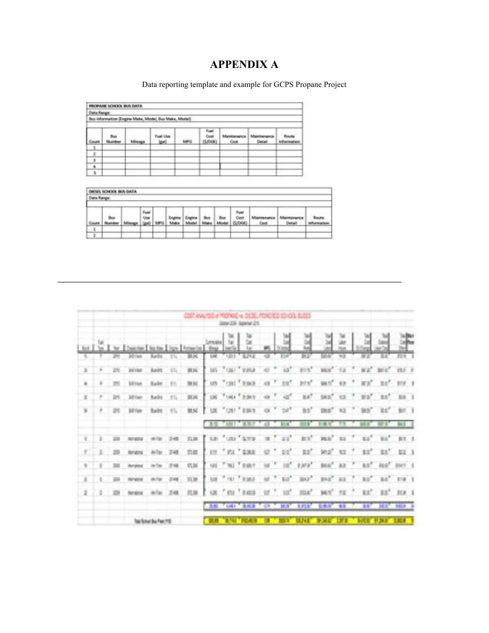# **APPENDIX A**

Data reporting template and example for GCPS Propane Project

|               | PROPAINE SCHOOL BUS DATA |         |                                                       |     |                         |                     |                       |                             |
|---------------|--------------------------|---------|-------------------------------------------------------|-----|-------------------------|---------------------|-----------------------|-----------------------------|
| Data Range    |                          |         |                                                       |     |                         |                     |                       |                             |
|               |                          |         | Bus information (Engine Make, Model, Bus Make, Model) |     |                         |                     |                       |                             |
| Court         | <b>Bus</b><br>Number     | Mileage | Fuel Use<br>(pri)                                     | MPG | Fuel<br>Cost<br>(S/DOE) | Maintenance<br>Cost | Maintenance<br>Detail | Route<br><b>Information</b> |
| 1             |                          |         |                                                       |     |                         |                     |                       |                             |
| $\rightarrow$ |                          |         |                                                       |     |                         |                     |                       |                             |
| 3             |                          |         |                                                       |     |                         |                     |                       |                             |
| $\cdot$       |                          |         |                                                       |     |                         |                     |                       |                             |
| $\sim$        |                          |         |                                                       |     |                         |                     |                       |                             |

| œ                 | IL SCHOOL BUS DATA |             |     |            |             |                                  |                         |             |             |  |
|-------------------|--------------------|-------------|-----|------------|-------------|----------------------------------|-------------------------|-------------|-------------|--|
| <b>Data Range</b> |                    |             |     |            |             |                                  |                         |             |             |  |
| Coun              | thus.<br>luxetatus | Fuel<br>Use | MFG | <b>Max</b> | <b>SALA</b> | Bus<br><b>b</b><br><b>Saltal</b> | Fuel<br>Cost<br>(S/DOF) | <b>Cost</b> | <b>Hail</b> |  |
| ı                 |                    |             |     |            |             |                                  |                         |             |             |  |
| ż                 |                    |             |     |            |             |                                  |                         |             |             |  |

|                |    |     |                       |                          |        |              |              |                  | COST ANALYSIS @ PROFAGE vs. DEDG, POASTED SO COL BLOSS<br>WW.CD-Sperar.CT |          |                   |             |                    |                   |                |                 |                 |                 |  |
|----------------|----|-----|-----------------------|--------------------------|--------|--------------|--------------|------------------|---------------------------------------------------------------------------|----------|-------------------|-------------|--------------------|-------------------|----------------|-----------------|-----------------|-----------------|--|
|                |    |     |                       |                          |        |              | <b>Tixes</b> |                  |                                                                           |          |                   |             | <b>SALE</b>        |                   |                |                 |                 |                 |  |
|                |    |     | <b>Diffries</b>       | <b>Bardio</b>            |        | 肺炎           |              |                  | <b>River</b>                                                              |          |                   |             |                    | <b>Sillia</b>     | ti (f)         |                 |                 |                 |  |
| л              |    | 211 | <b><i>BITTER</i></b>  | <b>BadO</b>              | 31,    | 31.54        | 187          |                  | "tas) " susa                                                              |          |                   |             | <b>FILS!</b>       | <b>MR</b>         | $\mathbb{Z}2$  |                 |                 |                 |  |
| ×              | ٠  | 2H) | <b>Miller</b>         | <b>Bailt</b>             | 31.    | <b>19.5G</b> | UN.          | $"$ 1341 $'$ .9. | <b>SKY</b>                                                                |          |                   |             | <b>INFS</b>        | W6                | 53             |                 | B               |                 |  |
| $\mathbb{R}$   |    |     | 34 Van                | Refer                    | $-0.5$ | 38.04        | 106          |                  | FIASA TIBAR                                                               | $+13$    |                   | -10         | $314$ <sup>*</sup> | DATE <sup>*</sup> |                | WW <sup>*</sup> | B6 <sup>5</sup> | BE 1            |  |
| $\mathbb{R}$   |    |     | 7 25 Mile July 15 318 |                          |        |              |              |                  | UE "US! " ESES OF "                                                       |          |                   | w           | 85'                |                   | W <sub>2</sub> | HD <sup>*</sup> | EE <sup>*</sup> | 87.1            |  |
|                |    |     |                       |                          |        |              | $-3.5$       |                  | THEY KEY                                                                  |          |                   | <b>SC H</b> |                    | ٠                 |                |                 |                 | ME E            |  |
| s,             |    |     |                       |                          |        | 兵庫           | 1.31         |                  | "uss" area                                                                | $\equiv$ |                   | ET.         | E.V                | <b>MEE</b>        | EI             | E2 <sup>7</sup> | EE'             | RT <sub>2</sub> |  |
| Y.             | s. |     |                       |                          | ₽ë     | 罚额           |              |                  | 100 T. 102 T. SOURI                                                       | e        | $\langle \rangle$ | Ef.         | 11'                | M2 <sup>r</sup>   | 15.3           | Ell'            |                 | BE BE 3         |  |
| ×              |    |     |                       |                          |        | 収益           | <b>VALL</b>  | T mi             | 下京都市                                                                      |          |                   | <b>COL</b>  | 0,3037             | BGS <sup>7</sup>  | 33             | 11'             | sea'            | DOCT E          |  |
| $\overline{a}$ |    |     |                       |                          | 2.44   | 官庫           | <b>kan</b>   |                  | 7 ray 7 stata                                                             |          |                   | 10          | BHF <sup>*</sup>   | 842 23            |                | 15              | EE <sup>*</sup> | 118.1           |  |
| ž              |    |     |                       |                          | 三级     | 四端           |              |                  | (2011 P.O.S.)                                                             | 冒        |                   | <b>EE</b>   | JUL!               |                   |                | E#"             | EE <sup>r</sup> | $11.8-1$        |  |
|                |    |     |                       |                          |        |              |              |                  | <b>FOR THE COME CO. THE SHIP</b>                                          |          |                   |             |                    | 日本市               | $-0.0$         | 新度              |                 | <b>DELIE D</b>  |  |
|                |    |     |                       | Top School Buy Final 773 |        |              |              |                  |                                                                           |          |                   |             | a pag              | 東西                |                |                 |                 |                 |  |